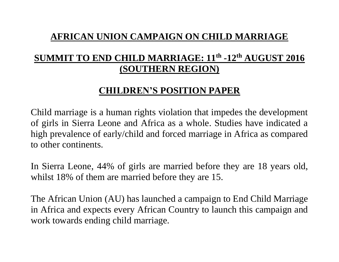## **AFRICAN UNION CAMPAIGN ON CHILD MARRIAGE**

## **SUMMIT TO END CHILD MARRIAGE: 11th -12th AUGUST 2016 (SOUTHERN REGION)**

## **CHILDREN'S POSITION PAPER**

Child marriage is a human rights violation that impedes the development of girls in Sierra Leone and Africa as a whole. Studies have indicated a high prevalence of early/child and forced marriage in Africa as compared to other continents.

In Sierra Leone, 44% of girls are married before they are 18 years old, whilst 18% of them are married before they are 15.

The African Union (AU) has launched a campaign to End Child Marriage in Africa and expects every African Country to launch this campaign and work towards ending child marriage.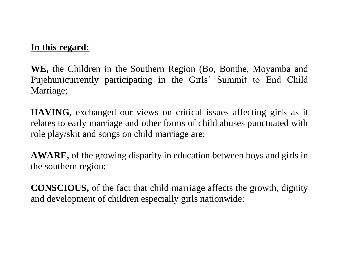#### **In this regard:**

**WE,** the Children in the Southern Region (Bo, Bonthe, Moyamba and Pujehun)currently participating in the Girls' Summit to End Child Marriage;

**HAVING,** exchanged our views on critical issues affecting girls as it relates to early marriage and other forms of child abuses punctuated with role play/skit and songs on child marriage are;

**AWARE,** of the growing disparity in education between boys and girls in the southern region;

**CONSCIOUS,** of the fact that child marriage affects the growth, dignity and development of children especially girls nationwide;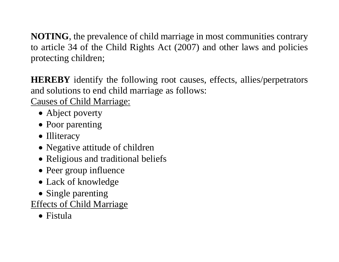**NOTING**, the prevalence of child marriage in most communities contrary to article 34 of the Child Rights Act (2007) and other laws and policies protecting children;

**HEREBY** identify the following root causes, effects, allies/perpetrators and solutions to end child marriage as follows:

Causes of Child Marriage:

- Abject poverty
- Poor parenting
- Illiteracy
- Negative attitude of children
- Religious and traditional beliefs
- Peer group influence
- Lack of knowledge
- Single parenting

Effects of Child Marriage

• Fistula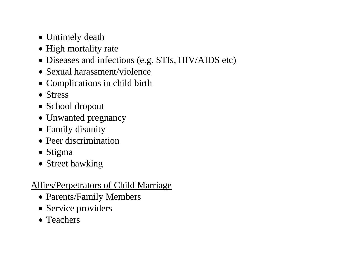- Untimely death
- High mortality rate
- Diseases and infections (e.g. STIs, HIV/AIDS etc)
- Sexual harassment/violence
- Complications in child birth
- Stress
- School dropout
- Unwanted pregnancy
- Family disunity
- Peer discrimination
- Stigma
- Street hawking

# Allies/Perpetrators of Child Marriage

- Parents/Family Members
- Service providers
- Teachers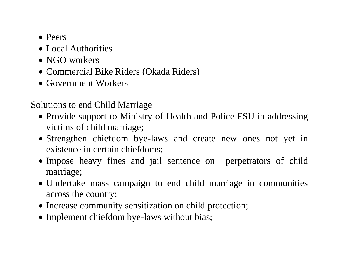- Peers
- Local Authorities
- NGO workers
- Commercial Bike Riders (Okada Riders)
- Government Workers

## Solutions to end Child Marriage

- Provide support to Ministry of Health and Police FSU in addressing victims of child marriage;
- Strengthen chiefdom bye-laws and create new ones not yet in existence in certain chiefdoms;
- Impose heavy fines and jail sentence on perpetrators of child marriage;
- Undertake mass campaign to end child marriage in communities across the country;
- Increase community sensitization on child protection;
- Implement chiefdom bye-laws without bias;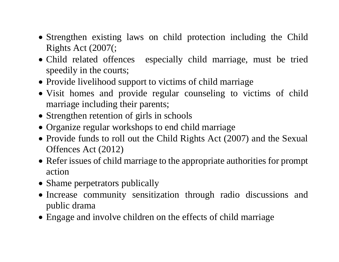- Strengthen existing laws on child protection including the Child Rights Act (2007(;
- Child related offences especially child marriage, must be tried speedily in the courts;
- Provide livelihood support to victims of child marriage
- Visit homes and provide regular counseling to victims of child marriage including their parents;
- Strengthen retention of girls in schools
- Organize regular workshops to end child marriage
- Provide funds to roll out the Child Rights Act (2007) and the Sexual Offences Act (2012)
- Refer issues of child marriage to the appropriate authorities for prompt action
- Shame perpetrators publically
- Increase community sensitization through radio discussions and public drama
- Engage and involve children on the effects of child marriage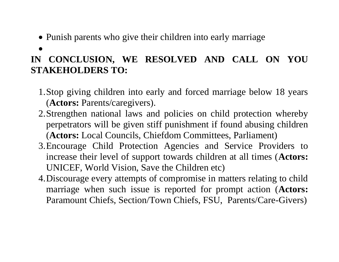- Punish parents who give their children into early marriage
- $\bullet$

# **IN CONCLUSION, WE RESOLVED AND CALL ON YOU STAKEHOLDERS TO:**

- 1.Stop giving children into early and forced marriage below 18 years (**Actors:** Parents/caregivers).
- 2.Strengthen national laws and policies on child protection whereby perpetrators will be given stiff punishment if found abusing children (**Actors:** Local Councils, Chiefdom Committees, Parliament)
- 3.Encourage Child Protection Agencies and Service Providers to increase their level of support towards children at all times (**Actors:**  UNICEF, World Vision, Save the Children etc)
- 4.Discourage every attempts of compromise in matters relating to child marriage when such issue is reported for prompt action (**Actors:**  Paramount Chiefs, Section/Town Chiefs, FSU, Parents/Care-Givers)